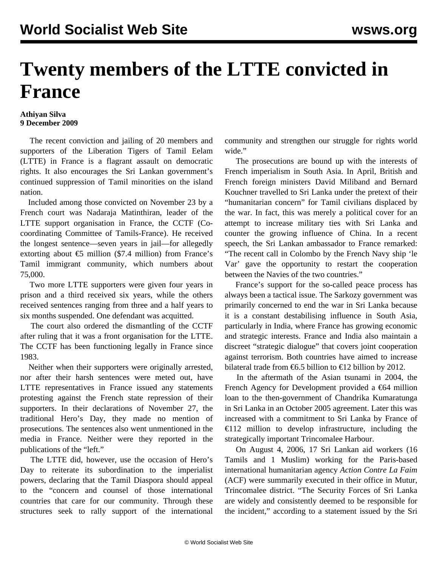## **Twenty members of the LTTE convicted in France**

## **Athiyan Silva 9 December 2009**

 The recent conviction and jailing of 20 members and supporters of the Liberation Tigers of Tamil Eelam (LTTE) in France is a flagrant assault on democratic rights. It also encourages the Sri Lankan government's continued suppression of Tamil minorities on the island nation.

 Included among those convicted on November 23 by a French court was Nadaraja Matinthiran, leader of the LTTE support organisation in France, the CCTF (Cocoordinating Committee of Tamils-France). He received the longest sentence—seven years in jail—for allegedly extorting about  $\epsilon$ 5 million (\$7.4 million) from France's Tamil immigrant community, which numbers about 75,000.

 Two more LTTE supporters were given four years in prison and a third received six years, while the others received sentences ranging from three and a half years to six months suspended. One defendant was acquitted.

 The court also ordered the dismantling of the CCTF after ruling that it was a front organisation for the LTTE. The CCTF has been functioning legally in France since 1983.

 Neither when their supporters were originally arrested, nor after their harsh sentences were meted out, have LTTE representatives in France issued any statements protesting against the French state repression of their supporters. In their declarations of November 27, the traditional Hero's Day, they made no mention of prosecutions. The sentences also went unmentioned in the media in France. Neither were they reported in the publications of the "left."

 The LTTE did, however, use the occasion of Hero's Day to reiterate its subordination to the imperialist powers, declaring that the Tamil Diaspora should appeal to the "concern and counsel of those international countries that care for our community. Through these structures seek to rally support of the international

community and strengthen our struggle for rights world wide."

 The prosecutions are bound up with the interests of French imperialism in South Asia. In April, British and French foreign ministers David Miliband and Bernard Kouchner travelled to Sri Lanka under the pretext of their "humanitarian concern" for Tamil civilians displaced by the war. In fact, this was merely a political cover for an attempt to increase military ties with Sri Lanka and counter the growing influence of China. In a recent speech, the Sri Lankan ambassador to France remarked: "The recent call in Colombo by the French Navy ship 'le Var' gave the opportunity to restart the cooperation between the Navies of the two countries."

 France's support for the so-called peace process has always been a tactical issue. The Sarkozy government was primarily concerned to end the war in Sri Lanka because it is a constant destabilising influence in South Asia, particularly in India, where France has growing economic and strategic interests. France and India also maintain a discreet "strategic dialogue" that covers joint cooperation against terrorism. Both countries have aimed to increase bilateral trade from  $\epsilon$ 6.5 billion to  $\epsilon$ 12 billion by 2012.

 In the aftermath of the Asian tsunami in 2004, the French Agency for Development provided a  $\epsilon$ 64 million loan to the then-government of Chandrika Kumaratunga in Sri Lanka in an October 2005 agreement. Later this was increased with a commitment to Sri Lanka by France of €112 million to develop infrastructure, including the strategically important Trincomalee Harbour.

 On August 4, 2006, 17 Sri Lankan aid workers (16 Tamils and 1 Muslim) working for the Paris-based international humanitarian agency *Action Contre La Faim* (ACF) were summarily executed in their office in Mutur, Trincomalee district. "The Security Forces of Sri Lanka are widely and consistently deemed to be responsible for the incident," according to a statement issued by the Sri